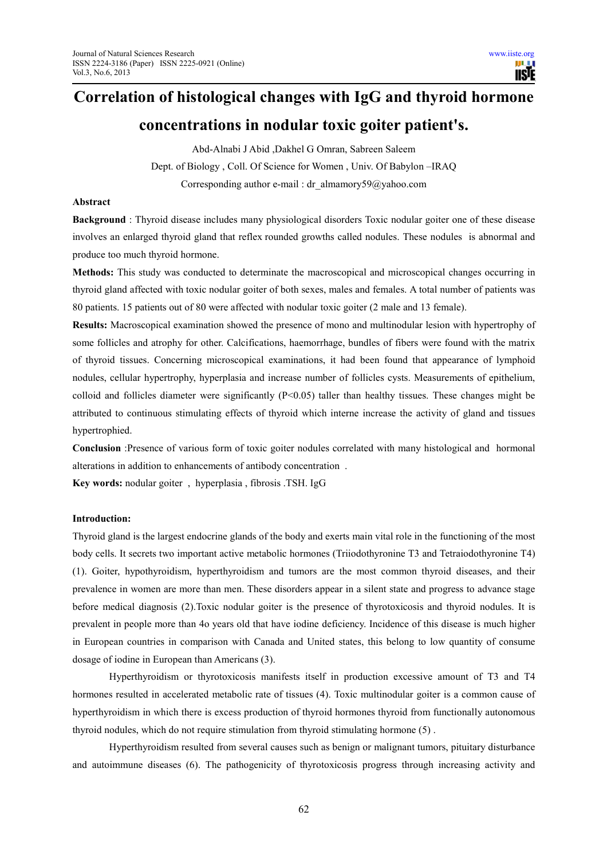# **Correlation of histological changes with IgG and thyroid hormone**

# **concentrations in nodular toxic goiter patient's.**

Abd-Alnabi J Abid ,Dakhel G Omran, Sabreen Saleem Dept. of Biology , Coll. Of Science for Women , Univ. Of Babylon –IRAQ Corresponding author e-mail : dr\_almamory59@yahoo.com

# **Abstract**

**Background** : Thyroid disease includes many physiological disorders Toxic nodular goiter one of these disease involves an enlarged thyroid gland that reflex rounded growths called nodules. These nodules is abnormal and produce too much thyroid hormone.

**Methods:** This study was conducted to determinate the macroscopical and microscopical changes occurring in thyroid gland affected with toxic nodular goiter of both sexes, males and females. A total number of patients was 80 patients. 15 patients out of 80 were affected with nodular toxic goiter (2 male and 13 female).

**Results:** Macroscopical examination showed the presence of mono and multinodular lesion with hypertrophy of some follicles and atrophy for other. Calcifications, haemorrhage, bundles of fibers were found with the matrix of thyroid tissues. Concerning microscopical examinations, it had been found that appearance of lymphoid nodules, cellular hypertrophy, hyperplasia and increase number of follicles cysts. Measurements of epithelium, colloid and follicles diameter were significantly  $(P<0.05)$  taller than healthy tissues. These changes might be attributed to continuous stimulating effects of thyroid which interne increase the activity of gland and tissues hypertrophied.

**Conclusion** :Presence of various form of toxic goiter nodules correlated with many histological and hormonal alterations in addition to enhancements of antibody concentration .

**Key words:** nodular goiter , hyperplasia , fibrosis .TSH. IgG

#### **Introduction:**

Thyroid gland is the largest endocrine glands of the body and exerts main vital role in the functioning of the most body cells. It secrets two important active metabolic hormones (Triiodothyronine T3 and Tetraiodothyronine T4) (1). Goiter, hypothyroidism, hyperthyroidism and tumors are the most common thyroid diseases, and their prevalence in women are more than men. These disorders appear in a silent state and progress to advance stage before medical diagnosis (2).Toxic nodular goiter is the presence of thyrotoxicosis and thyroid nodules. It is prevalent in people more than 4o years old that have iodine deficiency. Incidence of this disease is much higher in European countries in comparison with Canada and United states, this belong to low quantity of consume dosage of iodine in European than Americans (3).

Hyperthyroidism or thyrotoxicosis manifests itself in production excessive amount of T3 and T4 hormones resulted in accelerated metabolic rate of tissues (4). Toxic multinodular goiter is a common cause of hyperthyroidism in which there is excess production of thyroid hormones thyroid from functionally autonomous thyroid nodules, which do not require stimulation from thyroid stimulating hormone (5) .

Hyperthyroidism resulted from several causes such as benign or malignant tumors, pituitary disturbance and autoimmune diseases (6). The pathogenicity of thyrotoxicosis progress through increasing activity and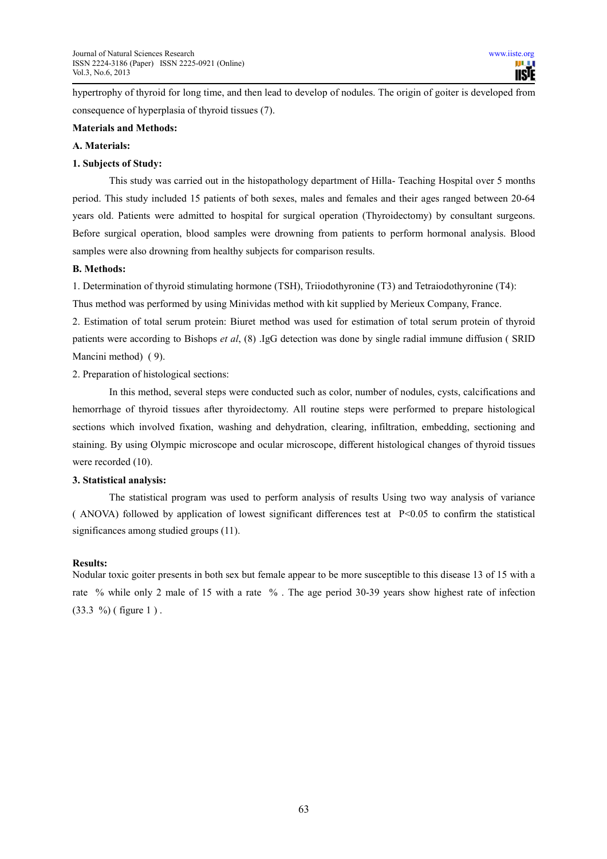hypertrophy of thyroid for long time, and then lead to develop of nodules. The origin of goiter is developed from consequence of hyperplasia of thyroid tissues (7).

# **Materials and Methods:**

#### **A. Materials:**

#### **1. Subjects of Study:**

This study was carried out in the histopathology department of Hilla- Teaching Hospital over 5 months period. This study included 15 patients of both sexes, males and females and their ages ranged between 20-64 years old. Patients were admitted to hospital for surgical operation (Thyroidectomy) by consultant surgeons. Before surgical operation, blood samples were drowning from patients to perform hormonal analysis. Blood samples were also drowning from healthy subjects for comparison results.

#### **B. Methods:**

1. Determination of thyroid stimulating hormone (TSH), Triiodothyronine (T3) and Tetraiodothyronine (T4):

Thus method was performed by using Minividas method with kit supplied by Merieux Company, France.

2. Estimation of total serum protein: Biuret method was used for estimation of total serum protein of thyroid patients were according to Bishops *et al*, (8) .IgG detection was done by single radial immune diffusion ( SRID Mancini method) ( 9).

2. Preparation of histological sections:

In this method, several steps were conducted such as color, number of nodules, cysts, calcifications and hemorrhage of thyroid tissues after thyroidectomy. All routine steps were performed to prepare histological sections which involved fixation, washing and dehydration, clearing, infiltration, embedding, sectioning and staining. By using Olympic microscope and ocular microscope, different histological changes of thyroid tissues were recorded  $(10)$ .

# **3. Statistical analysis:**

The statistical program was used to perform analysis of results Using two way analysis of variance ( ANOVA) followed by application of lowest significant differences test at P<0.05 to confirm the statistical significances among studied groups (11).

# **Results:**

Nodular toxic goiter presents in both sex but female appear to be more susceptible to this disease 13 of 15 with a rate % while only 2 male of 15 with a rate % . The age period 30-39 years show highest rate of infection  $(33.3 \%)$  (figure 1).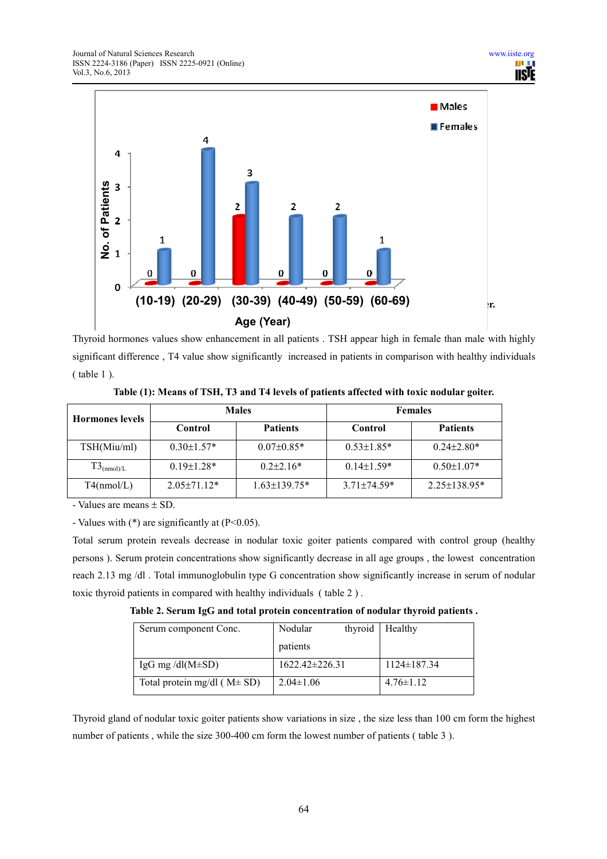

Thyroid hormones values show enhancement in all patients . TSH appear high in female than male with highly significant difference , T4 value show significantly increased in patients in comparison with healthy individuals ( table 1 ).

| <b>Hormones levels</b> |                   | <b>Males</b>       | <b>Females</b>   |                    |  |
|------------------------|-------------------|--------------------|------------------|--------------------|--|
|                        | Control           | <b>Patients</b>    |                  | <b>Patients</b>    |  |
| TSH(Miu/ml)            | $0.30 \pm 1.57$ * | $0.07 \pm 0.85*$   | $0.53 \pm 1.85*$ | $0.24 \pm 2.80*$   |  |
| $T3_{(nmol)/L}$        | $0.19 \pm 1.28*$  | $0.2\pm2.16*$      | $0.14 \pm 1.59*$ | $0.50 \pm 1.07*$   |  |
| T4(nmol/L)             | $2.05 \pm 71.12*$ | $1.63 \pm 139.75*$ | $3.71\pm74.59*$  | $2.25 \pm 138.95*$ |  |

**Table (1): Means of TSH, T3 and T4 levels of patients affected with toxic nodular goiter.** 

- Values are means ± SD.

- Values with  $(*)$  are significantly at  $(P<0.05)$ .

Total serum protein reveals decrease in nodular toxic goiter patients compared with control group (healthy persons ). Serum protein concentrations show significantly decrease in all age groups , the lowest concentration reach 2.13 mg /dl . Total immunoglobulin type G concentration show significantly increase in serum of nodular toxic thyroid patients in compared with healthy individuals ( table 2 ) .

**Table 2. Serum IgG and total protein concentration of nodular thyroid patients .** 

| Serum component Conc.              | Nodular              | thyroid | Healthy           |
|------------------------------------|----------------------|---------|-------------------|
|                                    | patients             |         |                   |
| IgG mg/dl( $M\pm SD$ )             | $1622.42 \pm 226.31$ |         | $1124 \pm 187.34$ |
| Total protein mg/dl ( $M \pm SD$ ) | $2.04 \pm 1.06$      |         | $4.76 \pm 1.12$   |

Thyroid gland of nodular toxic goiter patients show variations in size , the size less than 100 cm form the highest number of patients , while the size 300-400 cm form the lowest number of patients ( table 3 ).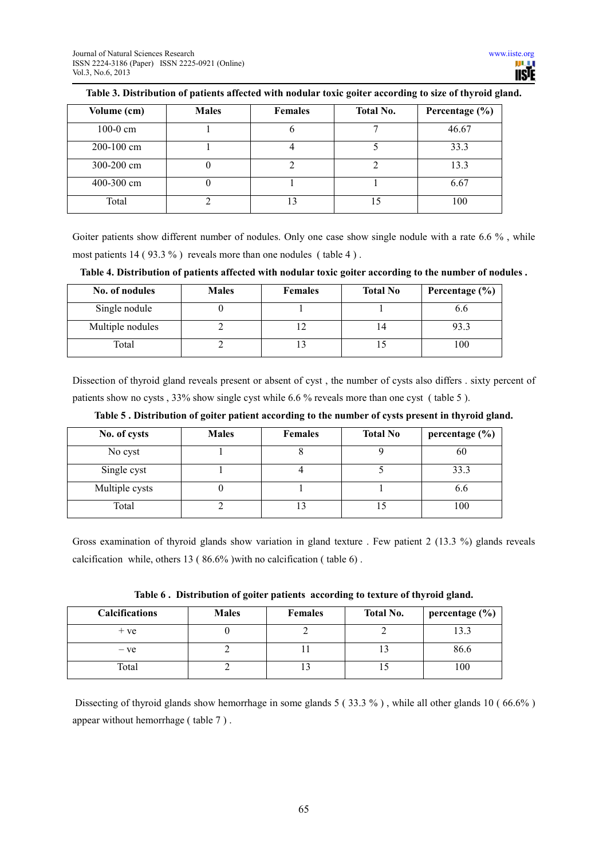| Volume (cm)    | <b>Males</b> | <b>Females</b> | <b>Total No.</b> | Percentage $(\% )$ |
|----------------|--------------|----------------|------------------|--------------------|
| $100-0$ cm     |              |                |                  | 46.67              |
| $200 - 100$ cm |              |                |                  | 33.3               |
| 300-200 cm     |              |                |                  | 13.3               |
| 400-300 cm     |              |                |                  | 6.67               |
| Total          |              | 13             |                  | 100                |

# **Table 3. Distribution of patients affected with nodular toxic goiter according to size of thyroid gland.**

Goiter patients show different number of nodules. Only one case show single nodule with a rate 6.6 %, while most patients 14 ( 93.3 % ) reveals more than one nodules ( table 4 ) .

**Table 4. Distribution of patients affected with nodular toxic goiter according to the number of nodules .** 

| No. of nodules   | <b>Males</b> | <b>Females</b> | <b>Total No</b> | Percentage $(\% )$ |
|------------------|--------------|----------------|-----------------|--------------------|
| Single nodule    |              |                |                 |                    |
| Multiple nodules |              |                |                 | 933                |
| Total            |              |                |                 |                    |

Dissection of thyroid gland reveals present or absent of cyst , the number of cysts also differs . sixty percent of patients show no cysts , 33% show single cyst while 6.6 % reveals more than one cyst ( table 5 ).

|  |  |  |  | Table 5 . Distribution of goiter patient according to the number of cysts present in thyroid gland. |  |  |
|--|--|--|--|-----------------------------------------------------------------------------------------------------|--|--|
|--|--|--|--|-----------------------------------------------------------------------------------------------------|--|--|

| No. of cysts   | <b>Males</b> | <b>Females</b> | <b>Total No</b> | percentage $(\% )$ |
|----------------|--------------|----------------|-----------------|--------------------|
| No cyst        |              |                |                 | 60                 |
| Single cyst    |              |                |                 | 33.3               |
| Multiple cysts |              |                |                 | 6.6                |
| Total          |              |                | LJ              | 100                |

Gross examination of thyroid glands show variation in gland texture . Few patient 2 (13.3 %) glands reveals calcification while, others 13 ( 86.6% )with no calcification ( table 6) .

|  |  | Table 6. Distribution of goiter patients according to texture of thyroid gland. |
|--|--|---------------------------------------------------------------------------------|
|  |  |                                                                                 |

| <b>Calcifications</b> | <b>Males</b> | <b>Females</b> | <b>Total No.</b> | percentage (%) |
|-----------------------|--------------|----------------|------------------|----------------|
| $+ve$                 |              |                |                  | 13.3           |
| – ve                  |              |                |                  | 86.6           |
| Total                 |              |                |                  | 100            |

 Dissecting of thyroid glands show hemorrhage in some glands 5 ( 33.3 % ) , while all other glands 10 ( 66.6% ) appear without hemorrhage ( table 7 ) .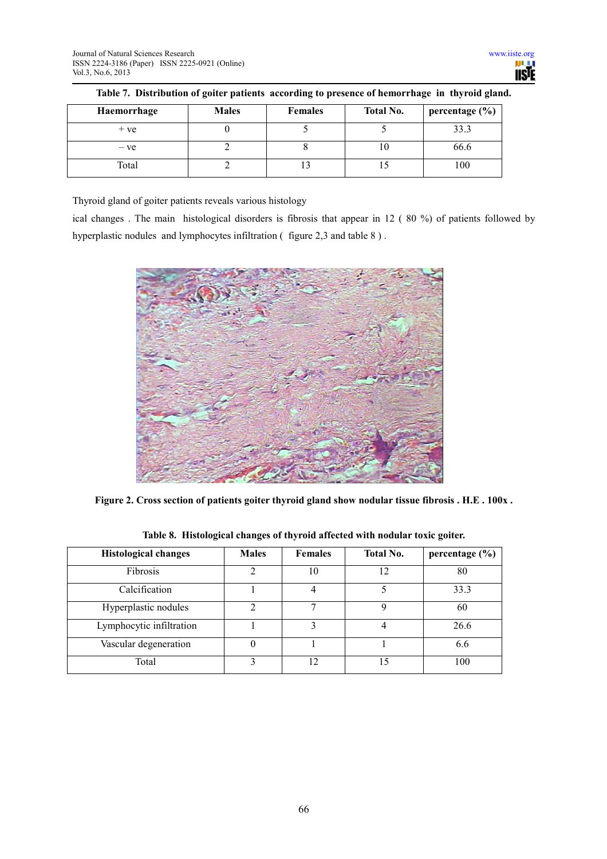| Haemorrhage | <b>Males</b> | <b>Females</b> | <b>Total No.</b> | percentage $(\% )$ |
|-------------|--------------|----------------|------------------|--------------------|
| $+ve$       |              |                |                  | 33.3               |
| $-ve$       |              |                | ΙU               | 66.6               |
| Total       |              |                |                  | 100                |

**Table 7. Distribution of goiter patients according to presence of hemorrhage in thyroid gland.** 

Thyroid gland of goiter patients reveals various histology

ical changes . The main histological disorders is fibrosis that appear in 12 ( 80 %) of patients followed by hyperplastic nodules and lymphocytes infiltration (figure 2,3 and table 8).



**Figure 2. Cross section of patients goiter thyroid gland show nodular tissue fibrosis . H.E . 100x .** 

**Table 8. Histological changes of thyroid affected with nodular toxic goiter.** 

| <b>Histological changes</b> | <b>Males</b> | <b>Females</b> | <b>Total No.</b> | percentage $(\% )$ |
|-----------------------------|--------------|----------------|------------------|--------------------|
| Fibrosis                    | າ            | 10             | 12               | 80                 |
| Calcification               |              |                |                  | 33.3               |
| Hyperplastic nodules        | $\gamma$     | 7              |                  | 60                 |
| Lymphocytic infiltration    |              |                |                  | 26.6               |
| Vascular degeneration       |              |                |                  | 6.6                |
| Total                       | ζ            | 12             | 15               | 100                |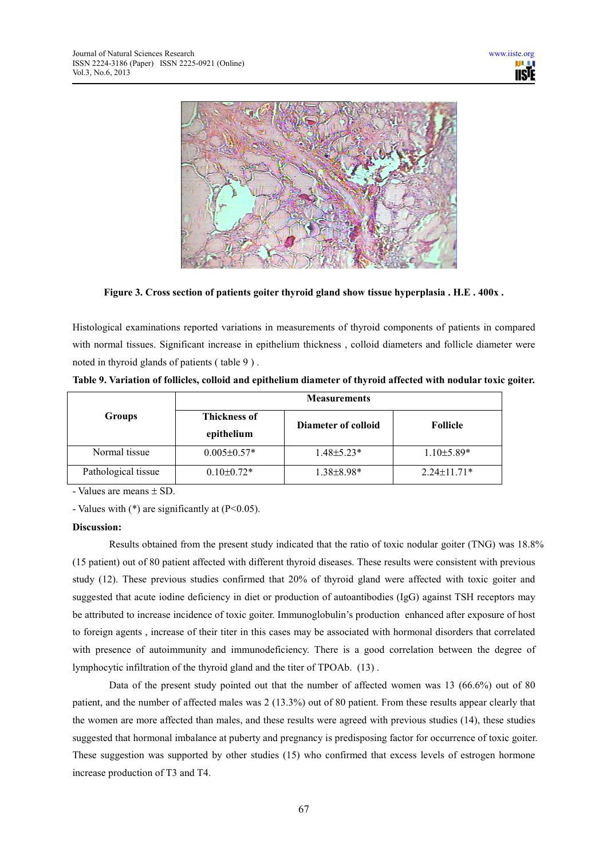

**Figure 3. Cross section of patients goiter thyroid gland show tissue hyperplasia . H.E . 400x .** 

Histological examinations reported variations in measurements of thyroid components of patients in compared with normal tissues. Significant increase in epithelium thickness, colloid diameters and follicle diameter were noted in thyroid glands of patients ( table 9 ) .

|                     | <b>Measurements</b>               |                     |                   |  |  |
|---------------------|-----------------------------------|---------------------|-------------------|--|--|
| Groups              | <b>Thickness of</b><br>epithelium | Diameter of colloid | <b>Follicle</b>   |  |  |
| Normal tissue       | $0.005 \pm 0.57*$                 | $1.48 \pm 5.23*$    | $1.10\pm5.89*$    |  |  |
| Pathological tissue | $0.10 \pm 0.72*$                  | $1.38 \pm 8.98*$    | $2.24 \pm 11.71*$ |  |  |

**Table 9. Variation of follicles, colloid and epithelium diameter of thyroid affected with nodular toxic goiter.** 

- Values are means ± SD.

- Values with  $(*)$  are significantly at  $(P<0.05)$ .

# **Discussion:**

Results obtained from the present study indicated that the ratio of toxic nodular goiter (TNG) was 18.8% (15 patient) out of 80 patient affected with different thyroid diseases. These results were consistent with previous study (12). These previous studies confirmed that 20% of thyroid gland were affected with toxic goiter and suggested that acute iodine deficiency in diet or production of autoantibodies (IgG) against TSH receptors may be attributed to increase incidence of toxic goiter. Immunoglobulin's production enhanced after exposure of host to foreign agents , increase of their titer in this cases may be associated with hormonal disorders that correlated with presence of autoimmunity and immunodeficiency. There is a good correlation between the degree of lymphocytic infiltration of the thyroid gland and the titer of TPOAb. (13) .

Data of the present study pointed out that the number of affected women was 13 (66.6%) out of 80 patient, and the number of affected males was 2 (13.3%) out of 80 patient. From these results appear clearly that the women are more affected than males, and these results were agreed with previous studies (14), these studies suggested that hormonal imbalance at puberty and pregnancy is predisposing factor for occurrence of toxic goiter. These suggestion was supported by other studies (15) who confirmed that excess levels of estrogen hormone increase production of T3 and T4.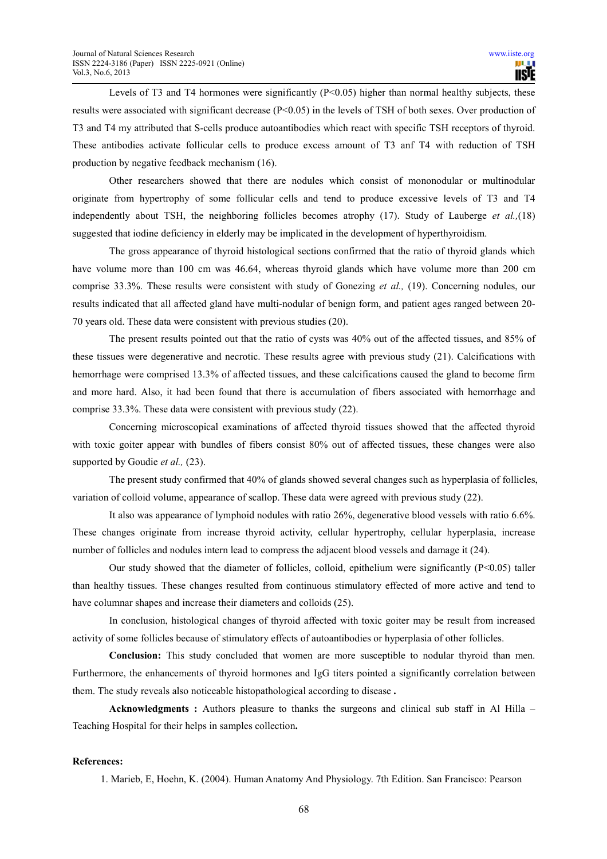Levels of T3 and T4 hormones were significantly  $(P<0.05)$  higher than normal healthy subjects, these results were associated with significant decrease (P<0.05) in the levels of TSH of both sexes. Over production of T3 and T4 my attributed that S-cells produce autoantibodies which react with specific TSH receptors of thyroid. These antibodies activate follicular cells to produce excess amount of T3 anf T4 with reduction of TSH production by negative feedback mechanism (16).

Other researchers showed that there are nodules which consist of mononodular or multinodular originate from hypertrophy of some follicular cells and tend to produce excessive levels of T3 and T4 independently about TSH, the neighboring follicles becomes atrophy (17). Study of Lauberge *et al.,*(18) suggested that iodine deficiency in elderly may be implicated in the development of hyperthyroidism.

The gross appearance of thyroid histological sections confirmed that the ratio of thyroid glands which have volume more than 100 cm was 46.64, whereas thyroid glands which have volume more than 200 cm comprise 33.3%. These results were consistent with study of Gonezing *et al.,* (19). Concerning nodules, our results indicated that all affected gland have multi-nodular of benign form, and patient ages ranged between 20- 70 years old. These data were consistent with previous studies (20).

The present results pointed out that the ratio of cysts was 40% out of the affected tissues, and 85% of these tissues were degenerative and necrotic. These results agree with previous study (21). Calcifications with hemorrhage were comprised 13.3% of affected tissues, and these calcifications caused the gland to become firm and more hard. Also, it had been found that there is accumulation of fibers associated with hemorrhage and comprise 33.3%. These data were consistent with previous study (22).

Concerning microscopical examinations of affected thyroid tissues showed that the affected thyroid with toxic goiter appear with bundles of fibers consist 80% out of affected tissues, these changes were also supported by Goudie *et al.*, (23).

The present study confirmed that 40% of glands showed several changes such as hyperplasia of follicles, variation of colloid volume, appearance of scallop. These data were agreed with previous study (22).

It also was appearance of lymphoid nodules with ratio 26%, degenerative blood vessels with ratio 6.6%. These changes originate from increase thyroid activity, cellular hypertrophy, cellular hyperplasia, increase number of follicles and nodules intern lead to compress the adjacent blood vessels and damage it (24).

Our study showed that the diameter of follicles, colloid, epithelium were significantly (P<0.05) taller than healthy tissues. These changes resulted from continuous stimulatory effected of more active and tend to have columnar shapes and increase their diameters and colloids (25).

In conclusion, histological changes of thyroid affected with toxic goiter may be result from increased activity of some follicles because of stimulatory effects of autoantibodies or hyperplasia of other follicles.

**Conclusion:** This study concluded that women are more susceptible to nodular thyroid than men. Furthermore, the enhancements of thyroid hormones and IgG titers pointed a significantly correlation between them. The study reveals also noticeable histopathological according to disease **.** 

**Acknowledgments :** Authors pleasure to thanks the surgeons and clinical sub staff in Al Hilla – Teaching Hospital for their helps in samples collection**.** 

#### **References:**

1. Marieb, E, Hoehn, K. (2004). Human Anatomy And Physiology. 7th Edition. San Francisco: Pearson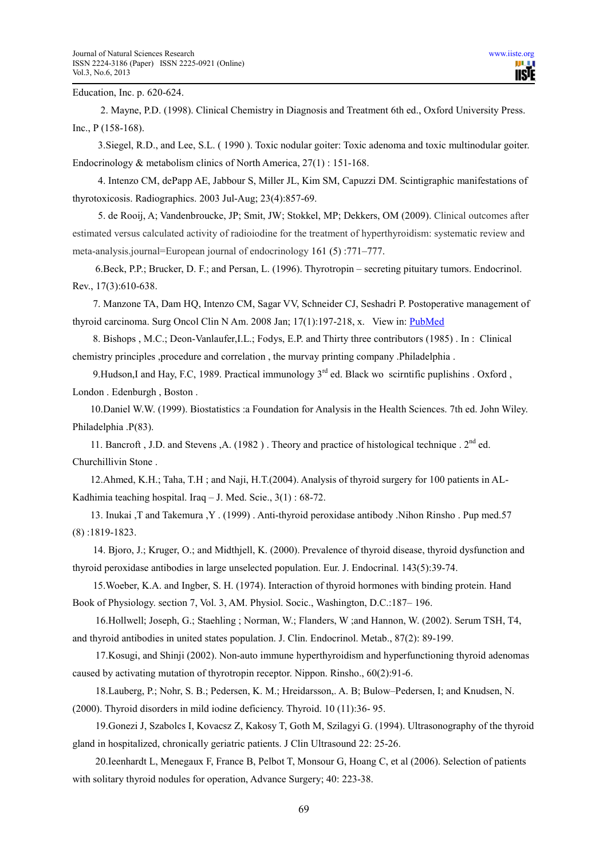Education, Inc. p. 620-624.

 2. Mayne, P.D. (1998). Clinical Chemistry in Diagnosis and Treatment 6th ed., Oxford University Press. Inc., P (158-168).

 3.Siegel, R.D., and Lee, S.L. ( 1990 ). Toxic nodular goiter: Toxic adenoma and toxic multinodular goiter. Endocrinology & metabolism clinics of North America, 27(1) : 151-168.

 4. Intenzo CM, dePapp AE, Jabbour S, Miller JL, Kim SM, Capuzzi DM. Scintigraphic manifestations of thyrotoxicosis. Radiographics. 2003 Jul-Aug; 23(4):857-69.

 5. de Rooij, A; Vandenbroucke, JP; Smit, JW; Stokkel, MP; Dekkers, OM (2009). Clinical outcomes after estimated versus calculated activity of radioiodine for the treatment of hyperthyroidism: systematic review and meta-analysis.journal=European journal of endocrinology 161 (5) :771–777.

 6.Beck, P.P.; Brucker, D. F.; and Persan, L. (1996). Thyrotropin – secreting pituitary tumors. Endocrinol. Rev., 17(3):610-638.

 7. Manzone TA, Dam HQ, Intenzo CM, Sagar VV, Schneider CJ, Seshadri P. Postoperative management of thyroid carcinoma. Surg Oncol Clin N Am. 2008 Jan; 17(1):197-218, x. View in: PubMed

 8. Bishops , M.C.; Deon-Vanlaufer,I.L.; Fodys, E.P. and Thirty three contributors (1985) . In : Clinical chemistry principles ,procedure and correlation , the murvay printing company .Philadelphia .

9. Hudson, I and Hay, F.C, 1989. Practical immunology  $3<sup>rd</sup>$  ed. Black wo scirntific puplishins . Oxford, London . Edenburgh , Boston .

 10.Daniel W.W. (1999). Biostatistics :a Foundation for Analysis in the Health Sciences. 7th ed. John Wiley. Philadelphia .P(83).

11. Bancroft , J.D. and Stevens , A. (1982). Theory and practice of histological technique .  $2^{nd}$  ed. Churchillivin Stone .

 12.Ahmed, K.H.; Taha, T.H ; and Naji, H.T.(2004). Analysis of thyroid surgery for 100 patients in AL-Kadhimia teaching hospital. Iraq – J. Med. Scie., 3(1) : 68-72.

 13. Inukai ,T and Takemura ,Y . (1999) . Anti-thyroid peroxidase antibody .Nihon Rinsho . Pup med.57 (8) :1819-1823.

 14. Bjoro, J.; Kruger, O.; and Midthjell, K. (2000). Prevalence of thyroid disease, thyroid dysfunction and thyroid peroxidase antibodies in large unselected population. Eur. J. Endocrinal. 143(5):39-74.

 15.Woeber, K.A. and Ingber, S. H. (1974). Interaction of thyroid hormones with binding protein. Hand Book of Physiology. section 7, Vol. 3, AM. Physiol. Socic., Washington, D.C.:187– 196.

 16.Hollwell; Joseph, G.; Staehling ; Norman, W.; Flanders, W ;and Hannon, W. (2002). Serum TSH, T4, and thyroid antibodies in united states population. J. Clin. Endocrinol. Metab., 87(2): 89-199.

 17.Kosugi, and Shinji (2002). Non-auto immune hyperthyroidism and hyperfunctioning thyroid adenomas caused by activating mutation of thyrotropin receptor. Nippon. Rinsho., 60(2):91-6.

 18.Lauberg, P.; Nohr, S. B.; Pedersen, K. M.; Hreidarsson,. A. B; Bulow–Pedersen, I; and Knudsen, N. (2000). Thyroid disorders in mild iodine deficiency. Thyroid. 10 (11):36- 95.

 19.Gonezi J, Szabolcs I, Kovacsz Z, Kakosy T, Goth M, Szilagyi G. (1994). Ultrasonography of the thyroid gland in hospitalized, chronically geriatric patients. J Clin Ultrasound 22: 25-26.

 20.Ieenhardt L, Menegaux F, France B, Pelbot T, Monsour G, Hoang C, et al (2006). Selection of patients with solitary thyroid nodules for operation, Advance Surgery; 40: 223-38.